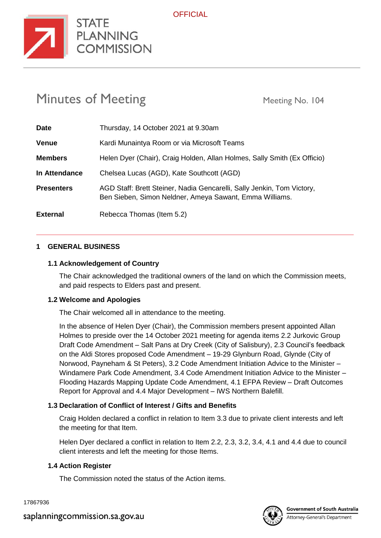

# Minutes of Meeting Meeting Meeting No. 104

**STATE** 

**COMMISSION** 

| <b>Date</b>       | Thursday, 14 October 2021 at 9.30am                                                                                               |
|-------------------|-----------------------------------------------------------------------------------------------------------------------------------|
| <b>Venue</b>      | Kardi Munaintya Room or via Microsoft Teams                                                                                       |
| <b>Members</b>    | Helen Dyer (Chair), Craig Holden, Allan Holmes, Sally Smith (Ex Officio)                                                          |
| In Attendance     | Chelsea Lucas (AGD), Kate Southcott (AGD)                                                                                         |
| <b>Presenters</b> | AGD Staff: Brett Steiner, Nadia Gencarelli, Sally Jenkin, Tom Victory,<br>Ben Sieben, Simon Neldner, Ameya Sawant, Emma Williams. |
| <b>External</b>   | Rebecca Thomas (Item 5.2)                                                                                                         |

#### **1 GENERAL BUSINESS**

#### **1.1 Acknowledgement of Country**

The Chair acknowledged the traditional owners of the land on which the Commission meets, and paid respects to Elders past and present.

#### **1.2 Welcome and Apologies**

The Chair welcomed all in attendance to the meeting.

In the absence of Helen Dyer (Chair), the Commission members present appointed Allan Holmes to preside over the 14 October 2021 meeting for agenda items 2.2 Jurkovic Group Draft Code Amendment – Salt Pans at Dry Creek (City of Salisbury), 2.3 Council's feedback on the Aldi Stores proposed Code Amendment – 19-29 Glynburn Road, Glynde (City of Norwood, Payneham & St Peters), 3.2 Code Amendment Initiation Advice to the Minister – Windamere Park Code Amendment, 3.4 Code Amendment Initiation Advice to the Minister – Flooding Hazards Mapping Update Code Amendment, 4.1 EFPA Review – Draft Outcomes Report for Approval and 4.4 Major Development – IWS Northern Balefill.

## **1.3 Declaration of Conflict of Interest / Gifts and Benefits**

Craig Holden declared a conflict in relation to Item 3.3 due to private client interests and left the meeting for that Item.

Helen Dyer declared a conflict in relation to Item 2.2, 2.3, 3.2, 3.4, 4.1 and 4.4 due to council client interests and left the meeting for those Items.

## **1.4 Action Register**

The Commission noted the status of the Action items.

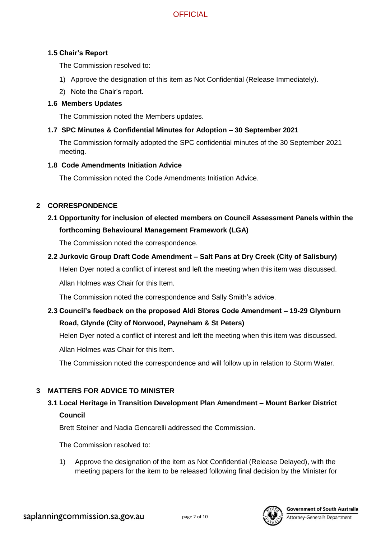# **1.5 Chair's Report**

The Commission resolved to:

- 1) Approve the designation of this item as Not Confidential (Release Immediately).
- 2) Note the Chair's report.

## **1.6 Members Updates**

The Commission noted the Members updates.

# **1.7 SPC Minutes & Confidential Minutes for Adoption – 30 September 2021**

The Commission formally adopted the SPC confidential minutes of the 30 September 2021 meeting.

## **1.8 Code Amendments Initiation Advice**

The Commission noted the Code Amendments Initiation Advice.

# **2 CORRESPONDENCE**

# **2.1 Opportunity for inclusion of elected members on Council Assessment Panels within the forthcoming Behavioural Management Framework (LGA)**

The Commission noted the correspondence.

# **2.2 Jurkovic Group Draft Code Amendment – Salt Pans at Dry Creek (City of Salisbury)**

Helen Dyer noted a conflict of interest and left the meeting when this item was discussed.

Allan Holmes was Chair for this Item.

The Commission noted the correspondence and Sally Smith's advice.

**2.3 Council's feedback on the proposed Aldi Stores Code Amendment – 19-29 Glynburn Road, Glynde (City of Norwood, Payneham & St Peters)**

Helen Dyer noted a conflict of interest and left the meeting when this item was discussed.

Allan Holmes was Chair for this Item.

The Commission noted the correspondence and will follow up in relation to Storm Water.

# **3 MATTERS FOR ADVICE TO MINISTER**

# **3.1 Local Heritage in Transition Development Plan Amendment – Mount Barker District Council**

Brett Steiner and Nadia Gencarelli addressed the Commission.

The Commission resolved to:

1) Approve the designation of the item as Not Confidential (Release Delayed), with the meeting papers for the item to be released following final decision by the Minister for

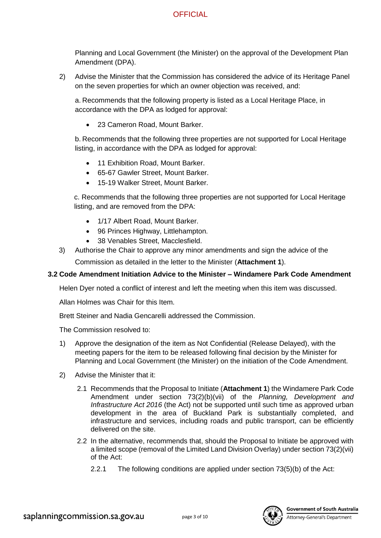Planning and Local Government (the Minister) on the approval of the Development Plan Amendment (DPA).

2) Advise the Minister that the Commission has considered the advice of its Heritage Panel on the seven properties for which an owner objection was received, and:

a. Recommends that the following property is listed as a Local Heritage Place, in accordance with the DPA as lodged for approval:

• 23 Cameron Road, Mount Barker.

b. Recommends that the following three properties are not supported for Local Heritage listing, in accordance with the DPA as lodged for approval:

- 11 Exhibition Road, Mount Barker.
- 65-67 Gawler Street, Mount Barker.
- 15-19 Walker Street, Mount Barker.

c. Recommends that the following three properties are not supported for Local Heritage listing, and are removed from the DPA:

- 1/17 Albert Road, Mount Barker.
- 96 Princes Highway, Littlehampton.
- 38 Venables Street, Macclesfield.
- 3) Authorise the Chair to approve any minor amendments and sign the advice of the

Commission as detailed in the letter to the Minister (**Attachment 1**).

## **3.2 Code Amendment Initiation Advice to the Minister – Windamere Park Code Amendment**

Helen Dyer noted a conflict of interest and left the meeting when this item was discussed.

Allan Holmes was Chair for this Item.

Brett Steiner and Nadia Gencarelli addressed the Commission.

The Commission resolved to:

- 1) Approve the designation of the item as Not Confidential (Release Delayed), with the meeting papers for the item to be released following final decision by the Minister for Planning and Local Government (the Minister) on the initiation of the Code Amendment.
- 2) Advise the Minister that it:
	- 2.1 Recommends that the Proposal to Initiate (**Attachment 1**) the Windamere Park Code Amendment under section 73(2)(b)(vii) of the *Planning, Development and Infrastructure Act 2016* (the Act) not be supported until such time as approved urban development in the area of Buckland Park is substantially completed, and infrastructure and services, including roads and public transport, can be efficiently delivered on the site.
	- 2.2 In the alternative, recommends that, should the Proposal to Initiate be approved with a limited scope (removal of the Limited Land Division Overlay) under section 73(2)(vii) of the Act:
		- 2.2.1 The following conditions are applied under section 73(5)(b) of the Act:

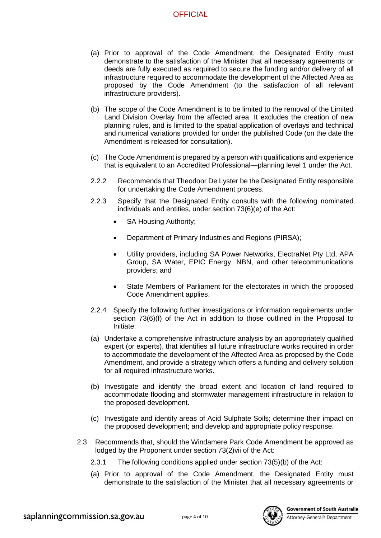- (a) Prior to approval of the Code Amendment, the Designated Entity must demonstrate to the satisfaction of the Minister that all necessary agreements or deeds are fully executed as required to secure the funding and/or delivery of all infrastructure required to accommodate the development of the Affected Area as proposed by the Code Amendment (to the satisfaction of all relevant infrastructure providers).
- (b) The scope of the Code Amendment is to be limited to the removal of the Limited Land Division Overlay from the affected area. It excludes the creation of new planning rules, and is limited to the spatial application of overlays and technical and numerical variations provided for under the published Code (on the date the Amendment is released for consultation).
- (c) The Code Amendment is prepared by a person with qualifications and experience that is equivalent to an Accredited Professional—planning level 1 under the Act.
- 2.2.2 Recommends that Theodoor De Lyster be the Designated Entity responsible for undertaking the Code Amendment process.
- 2.2.3 Specify that the Designated Entity consults with the following nominated individuals and entities, under section 73(6)(e) of the Act:
	- SA Housing Authority;
	- Department of Primary Industries and Regions (PIRSA);
	- Utility providers, including SA Power Networks, ElectraNet Pty Ltd, APA Group, SA Water, EPIC Energy, NBN, and other telecommunications providers; and
	- State Members of Parliament for the electorates in which the proposed Code Amendment applies.
- 2.2.4 Specify the following further investigations or information requirements under section 73(6)(f) of the Act in addition to those outlined in the Proposal to Initiate:
- (a) Undertake a comprehensive infrastructure analysis by an appropriately qualified expert (or experts), that identifies all future infrastructure works required in order to accommodate the development of the Affected Area as proposed by the Code Amendment, and provide a strategy which offers a funding and delivery solution for all required infrastructure works.
- (b) Investigate and identify the broad extent and location of land required to accommodate flooding and stormwater management infrastructure in relation to the proposed development.
- (c) Investigate and identify areas of Acid Sulphate Soils; determine their impact on the proposed development; and develop and appropriate policy response.
- 2.3 Recommends that, should the Windamere Park Code Amendment be approved as lodged by the Proponent under section 73(2)vii of the Act:
	- 2.3.1 The following conditions applied under section 73(5)(b) of the Act:
	- (a) Prior to approval of the Code Amendment, the Designated Entity must demonstrate to the satisfaction of the Minister that all necessary agreements or



**Government of South Australia**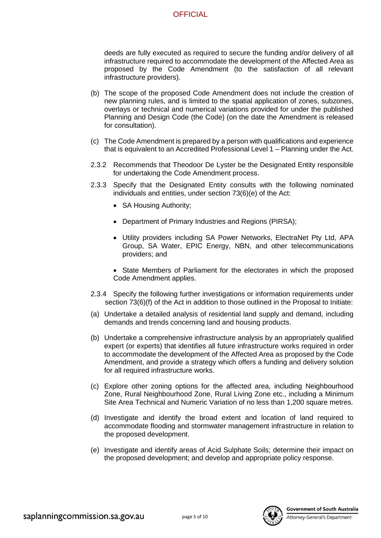deeds are fully executed as required to secure the funding and/or delivery of all infrastructure required to accommodate the development of the Affected Area as proposed by the Code Amendment (to the satisfaction of all relevant infrastructure providers).

- (b) The scope of the proposed Code Amendment does not include the creation of new planning rules, and is limited to the spatial application of zones, subzones, overlays or technical and numerical variations provided for under the published Planning and Design Code (the Code) (on the date the Amendment is released for consultation).
- (c) The Code Amendment is prepared by a person with qualifications and experience that is equivalent to an Accredited Professional Level 1 – Planning under the Act.
- 2.3.2 Recommends that Theodoor De Lyster be the Designated Entity responsible for undertaking the Code Amendment process.
- 2.3.3 Specify that the Designated Entity consults with the following nominated individuals and entities, under section 73(6)(e) of the Act:
	- SA Housing Authority;
	- Department of Primary Industries and Regions (PIRSA);
	- Utility providers including SA Power Networks, ElectraNet Pty Ltd, APA Group, SA Water, EPIC Energy, NBN, and other telecommunications providers; and
	- State Members of Parliament for the electorates in which the proposed Code Amendment applies.
- 2.3.4 Specify the following further investigations or information requirements under section 73(6)(f) of the Act in addition to those outlined in the Proposal to Initiate:
- (a) Undertake a detailed analysis of residential land supply and demand, including demands and trends concerning land and housing products.
- (b) Undertake a comprehensive infrastructure analysis by an appropriately qualified expert (or experts) that identifies all future infrastructure works required in order to accommodate the development of the Affected Area as proposed by the Code Amendment, and provide a strategy which offers a funding and delivery solution for all required infrastructure works.
- (c) Explore other zoning options for the affected area, including Neighbourhood Zone, Rural Neighbourhood Zone, Rural Living Zone etc., including a Minimum Site Area Technical and Numeric Variation of no less than 1,200 square metres.
- (d) Investigate and identify the broad extent and location of land required to accommodate flooding and stormwater management infrastructure in relation to the proposed development.
- (e) Investigate and identify areas of Acid Sulphate Soils; determine their impact on the proposed development; and develop and appropriate policy response.

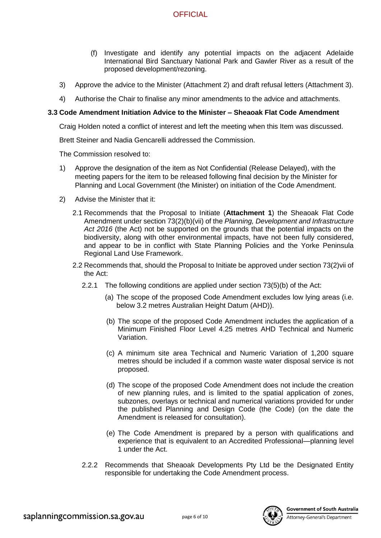- (f) Investigate and identify any potential impacts on the adjacent Adelaide International Bird Sanctuary National Park and Gawler River as a result of the proposed development/rezoning.
- 3) Approve the advice to the Minister (Attachment 2) and draft refusal letters (Attachment 3).
- 4) Authorise the Chair to finalise any minor amendments to the advice and attachments.

#### **3.3 Code Amendment Initiation Advice to the Minister – Sheaoak Flat Code Amendment**

Craig Holden noted a conflict of interest and left the meeting when this Item was discussed.

Brett Steiner and Nadia Gencarelli addressed the Commission.

The Commission resolved to:

- 1) Approve the designation of the item as Not Confidential (Release Delayed), with the meeting papers for the item to be released following final decision by the Minister for Planning and Local Government (the Minister) on initiation of the Code Amendment.
- 2) Advise the Minister that it:
	- 2.1 Recommends that the Proposal to Initiate (**Attachment 1**) the Sheaoak Flat Code Amendment under section 73(2)(b)(vii) of the *Planning, Development and Infrastructure Act 2016* (the Act) not be supported on the grounds that the potential impacts on the biodiversity, along with other environmental impacts, have not been fully considered, and appear to be in conflict with State Planning Policies and the Yorke Peninsula Regional Land Use Framework.
	- 2.2 Recommends that, should the Proposal to Initiate be approved under section 73(2)vii of the Act:
		- 2.2.1 The following conditions are applied under section 73(5)(b) of the Act:
			- (a) The scope of the proposed Code Amendment excludes low lying areas (i.e. below 3.2 metres Australian Height Datum (AHD)).
			- (b) The scope of the proposed Code Amendment includes the application of a Minimum Finished Floor Level 4.25 metres AHD Technical and Numeric Variation.
			- (c) A minimum site area Technical and Numeric Variation of 1,200 square metres should be included if a common waste water disposal service is not proposed.
			- (d) The scope of the proposed Code Amendment does not include the creation of new planning rules, and is limited to the spatial application of zones, subzones, overlays or technical and numerical variations provided for under the published Planning and Design Code (the Code) (on the date the Amendment is released for consultation).
			- (e) The Code Amendment is prepared by a person with qualifications and experience that is equivalent to an Accredited Professional—planning level 1 under the Act.
		- 2.2.2 Recommends that Sheaoak Developments Pty Ltd be the Designated Entity responsible for undertaking the Code Amendment process.

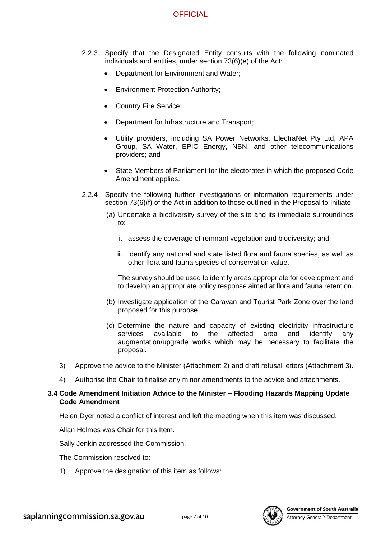- 2.2.3 Specify that the Designated Entity consults with the following nominated individuals and entities, under section 73(6)(e) of the Act:
	- Department for Environment and Water;
	- Environment Protection Authority;
	- Country Fire Service;
	- Department for Infrastructure and Transport;
	- Utility providers, including SA Power Networks, ElectraNet Pty Ltd, APA Group, SA Water, EPIC Energy, NBN, and other telecommunications providers; and
	- State Members of Parliament for the electorates in which the proposed Code Amendment applies.
- 2.2.4 Specify the following further investigations or information requirements under section 73(6)(f) of the Act in addition to those outlined in the Proposal to Initiate:
	- (a) Undertake a biodiversity survey of the site and its immediate surroundings to:
		- i. assess the coverage of remnant vegetation and biodiversity; and
		- ii. identify any national and state listed flora and fauna species, as well as other flora and fauna species of conservation value.

The survey should be used to identify areas appropriate for development and to develop an appropriate policy response aimed at flora and fauna retention.

- (b) Investigate application of the Caravan and Tourist Park Zone over the land proposed for this purpose.
- (c) Determine the nature and capacity of existing electricity infrastructure services available to the affected area and identify any augmentation/upgrade works which may be necessary to facilitate the proposal.
- 3) Approve the advice to the Minister (Attachment 2) and draft refusal letters (Attachment 3).
- 4) Authorise the Chair to finalise any minor amendments to the advice and attachments.

#### **3.4 Code Amendment Initiation Advice to the Minister – Flooding Hazards Mapping Update Code Amendment**

Helen Dyer noted a conflict of interest and left the meeting when this item was discussed.

Allan Holmes was Chair for this Item.

Sally Jenkin addressed the Commission.

The Commission resolved to:

1) Approve the designation of this item as follows:

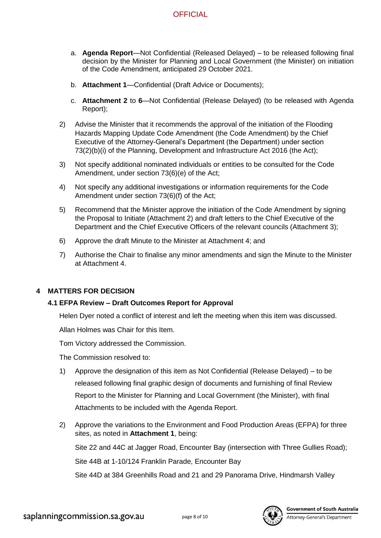- a. **Agenda Report**—Not Confidential (Released Delayed) to be released following final decision by the Minister for Planning and Local Government (the Minister) on initiation of the Code Amendment, anticipated 29 October 2021.
- b. **Attachment 1**—Confidential (Draft Advice or Documents);
- c. **Attachment 2** to **6**—Not Confidential (Release Delayed) (to be released with Agenda Report);
- 2) Advise the Minister that it recommends the approval of the initiation of the Flooding Hazards Mapping Update Code Amendment (the Code Amendment) by the Chief Executive of the Attorney-General's Department (the Department) under section 73(2)(b)(i) of the Planning, Development and Infrastructure Act 2016 (the Act);
- 3) Not specify additional nominated individuals or entities to be consulted for the Code Amendment, under section 73(6)(e) of the Act;
- 4) Not specify any additional investigations or information requirements for the Code Amendment under section 73(6)(f) of the Act;
- 5) Recommend that the Minister approve the initiation of the Code Amendment by signing the Proposal to Initiate (Attachment 2) and draft letters to the Chief Executive of the Department and the Chief Executive Officers of the relevant councils (Attachment 3);
- 6) Approve the draft Minute to the Minister at Attachment 4; and
- 7) Authorise the Chair to finalise any minor amendments and sign the Minute to the Minister at Attachment 4.

# **4 MATTERS FOR DECISION**

## **4.1 EFPA Review – Draft Outcomes Report for Approval**

Helen Dyer noted a conflict of interest and left the meeting when this item was discussed.

Allan Holmes was Chair for this Item.

Tom Victory addressed the Commission.

The Commission resolved to:

- 1) Approve the designation of this item as Not Confidential (Release Delayed) to be released following final graphic design of documents and furnishing of final Review Report to the Minister for Planning and Local Government (the Minister), with final Attachments to be included with the Agenda Report.
- 2) Approve the variations to the Environment and Food Production Areas (EFPA) for three sites, as noted in **Attachment 1**, being:

Site 22 and 44C at Jagger Road, Encounter Bay (intersection with Three Gullies Road);

Site 44B at 1-10/124 Franklin Parade, Encounter Bay

Site 44D at 384 Greenhills Road and 21 and 29 Panorama Drive, Hindmarsh Valley

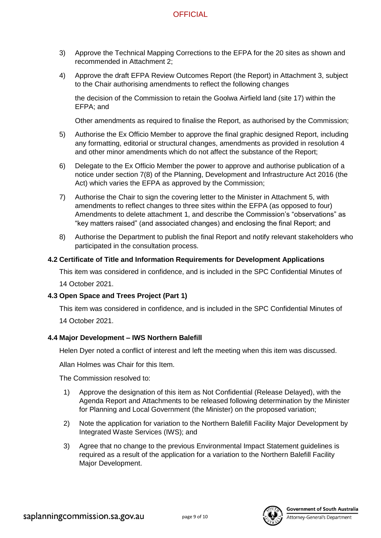- 3) Approve the Technical Mapping Corrections to the EFPA for the 20 sites as shown and recommended in Attachment 2;
- 4) Approve the draft EFPA Review Outcomes Report (the Report) in Attachment 3, subject to the Chair authorising amendments to reflect the following changes

the decision of the Commission to retain the Goolwa Airfield land (site 17) within the EFPA; and

Other amendments as required to finalise the Report, as authorised by the Commission;

- 5) Authorise the Ex Officio Member to approve the final graphic designed Report, including any formatting, editorial or structural changes, amendments as provided in resolution 4 and other minor amendments which do not affect the substance of the Report;
- 6) Delegate to the Ex Officio Member the power to approve and authorise publication of a notice under section 7(8) of the Planning, Development and Infrastructure Act 2016 (the Act) which varies the EFPA as approved by the Commission;
- 7) Authorise the Chair to sign the covering letter to the Minister in Attachment 5, with amendments to reflect changes to three sites within the EFPA (as opposed to four) Amendments to delete attachment 1, and describe the Commission's "observations" as "key matters raised" (and associated changes) and enclosing the final Report; and
- 8) Authorise the Department to publish the final Report and notify relevant stakeholders who participated in the consultation process.

## **4.2 Certificate of Title and Information Requirements for Development Applications**

This item was considered in confidence, and is included in the SPC Confidential Minutes of

14 October 2021.

## **4.3 Open Space and Trees Project (Part 1)**

This item was considered in confidence, and is included in the SPC Confidential Minutes of 14 October 2021.

# **4.4 Major Development – IWS Northern Balefill**

Helen Dyer noted a conflict of interest and left the meeting when this item was discussed.

Allan Holmes was Chair for this Item.

The Commission resolved to:

- 1) Approve the designation of this item as Not Confidential (Release Delayed), with the Agenda Report and Attachments to be released following determination by the Minister for Planning and Local Government (the Minister) on the proposed variation;
- 2) Note the application for variation to the Northern Balefill Facility Major Development by Integrated Waste Services (IWS); and
- 3) Agree that no change to the previous Environmental Impact Statement guidelines is required as a result of the application for a variation to the Northern Balefill Facility Major Development.